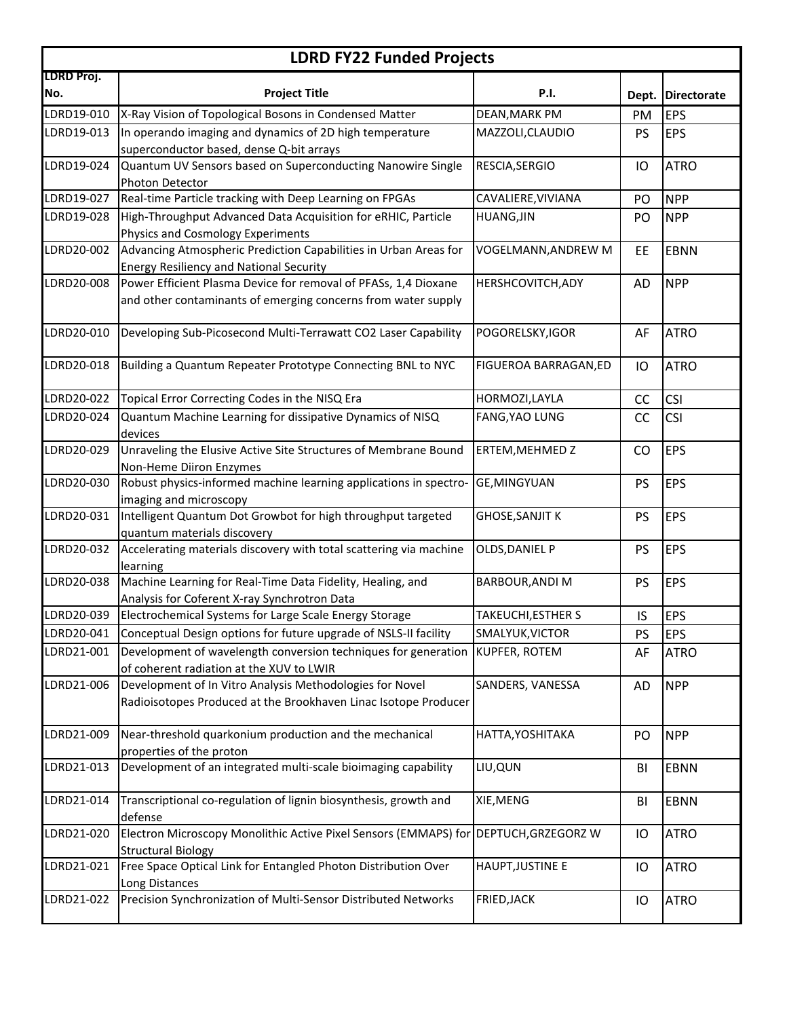| <b>LDRD FY22 Funded Projects</b> |                                                                                                                                  |                        |           |                    |  |  |  |
|----------------------------------|----------------------------------------------------------------------------------------------------------------------------------|------------------------|-----------|--------------------|--|--|--|
| LDRD Proj.<br>No.                | <b>Project Title</b>                                                                                                             | <b>P.I.</b>            | Dept.     | <b>Directorate</b> |  |  |  |
| LDRD19-010                       | X-Ray Vision of Topological Bosons in Condensed Matter                                                                           | DEAN, MARK PM          | PM        | <b>EPS</b>         |  |  |  |
| LDRD19-013                       | In operando imaging and dynamics of 2D high temperature<br>superconductor based, dense Q-bit arrays                              | MAZZOLI, CLAUDIO       | <b>PS</b> | <b>EPS</b>         |  |  |  |
| LDRD19-024                       | Quantum UV Sensors based on Superconducting Nanowire Single<br>Photon Detector                                                   | RESCIA, SERGIO         | IO        | <b>ATRO</b>        |  |  |  |
| LDRD19-027                       | Real-time Particle tracking with Deep Learning on FPGAs                                                                          | CAVALIERE, VIVIANA     | PO        | <b>NPP</b>         |  |  |  |
| LDRD19-028                       | High-Throughput Advanced Data Acquisition for eRHIC, Particle<br>Physics and Cosmology Experiments                               | <b>HUANG, JIN</b>      | PO        | <b>NPP</b>         |  |  |  |
| LDRD20-002                       | Advancing Atmospheric Prediction Capabilities in Urban Areas for<br><b>Energy Resiliency and National Security</b>               | VOGELMANN, ANDREW M    | EE        | <b>EBNN</b>        |  |  |  |
| LDRD20-008                       | Power Efficient Plasma Device for removal of PFASs, 1,4 Dioxane<br>and other contaminants of emerging concerns from water supply | HERSHCOVITCH, ADY      | <b>AD</b> | <b>NPP</b>         |  |  |  |
| LDRD20-010                       | Developing Sub-Picosecond Multi-Terrawatt CO2 Laser Capability                                                                   | POGORELSKY, IGOR       | AF        | <b>ATRO</b>        |  |  |  |
| LDRD20-018                       | Building a Quantum Repeater Prototype Connecting BNL to NYC                                                                      | FIGUEROA BARRAGAN, ED  | IO        | <b>ATRO</b>        |  |  |  |
| LDRD20-022                       | Topical Error Correcting Codes in the NISQ Era                                                                                   | HORMOZI, LAYLA         | CC        | <b>CSI</b>         |  |  |  |
| LDRD20-024                       | Quantum Machine Learning for dissipative Dynamics of NISQ<br>devices                                                             | FANG, YAO LUNG         | CC        | <b>CSI</b>         |  |  |  |
| LDRD20-029                       | Unraveling the Elusive Active Site Structures of Membrane Bound<br>Non-Heme Diiron Enzymes                                       | ERTEM, MEHMED Z        | CO        | <b>EPS</b>         |  |  |  |
| LDRD20-030                       | Robust physics-informed machine learning applications in spectro-<br>imaging and microscopy                                      | <b>GE, MINGYUAN</b>    | <b>PS</b> | <b>EPS</b>         |  |  |  |
| LDRD20-031                       | Intelligent Quantum Dot Growbot for high throughput targeted<br>quantum materials discovery                                      | <b>GHOSE, SANJIT K</b> | PS        | <b>EPS</b>         |  |  |  |
| LDRD20-032                       | Accelerating materials discovery with total scattering via machine<br>learning                                                   | OLDS, DANIEL P         | PS        | <b>EPS</b>         |  |  |  |
| LDRD20-038                       | Machine Learning for Real-Time Data Fidelity, Healing, and<br>Analysis for Coferent X-ray Synchrotron Data                       | BARBOUR, ANDI M        | PS        | <b>EPS</b>         |  |  |  |
| LDRD20-039                       | Electrochemical Systems for Large Scale Energy Storage                                                                           | TAKEUCHI, ESTHER S     | IS        | <b>EPS</b>         |  |  |  |
| LDRD20-041                       | Conceptual Design options for future upgrade of NSLS-II facility                                                                 | SMALYUK, VICTOR        | PS        | <b>EPS</b>         |  |  |  |
| LDRD21-001                       | Development of wavelength conversion techniques for generation<br>of coherent radiation at the XUV to LWIR                       | <b>KUPFER, ROTEM</b>   | AF        | <b>ATRO</b>        |  |  |  |
| LDRD21-006                       | Development of In Vitro Analysis Methodologies for Novel<br>Radioisotopes Produced at the Brookhaven Linac Isotope Producer      | SANDERS, VANESSA       | AD        | <b>NPP</b>         |  |  |  |
| LDRD21-009                       | Near-threshold quarkonium production and the mechanical<br>properties of the proton                                              | HATTA, YOSHITAKA       | PO        | <b>NPP</b>         |  |  |  |
| LDRD21-013                       | Development of an integrated multi-scale bioimaging capability                                                                   | LIU, QUN               | BI        | <b>EBNN</b>        |  |  |  |
| LDRD21-014                       | Transcriptional co-regulation of lignin biosynthesis, growth and<br>defense                                                      | XIE, MENG              | BI        | <b>EBNN</b>        |  |  |  |
| LDRD21-020                       | Electron Microscopy Monolithic Active Pixel Sensors (EMMAPS) for<br><b>Structural Biology</b>                                    | DEPTUCH, GRZEGORZ W    | IО        | <b>ATRO</b>        |  |  |  |
| LDRD21-021                       | Free Space Optical Link for Entangled Photon Distribution Over<br>Long Distances                                                 | HAUPT, JUSTINE E       | IО        | <b>ATRO</b>        |  |  |  |
| LDRD21-022                       | Precision Synchronization of Multi-Sensor Distributed Networks                                                                   | FRIED, JACK            | IО        | <b>ATRO</b>        |  |  |  |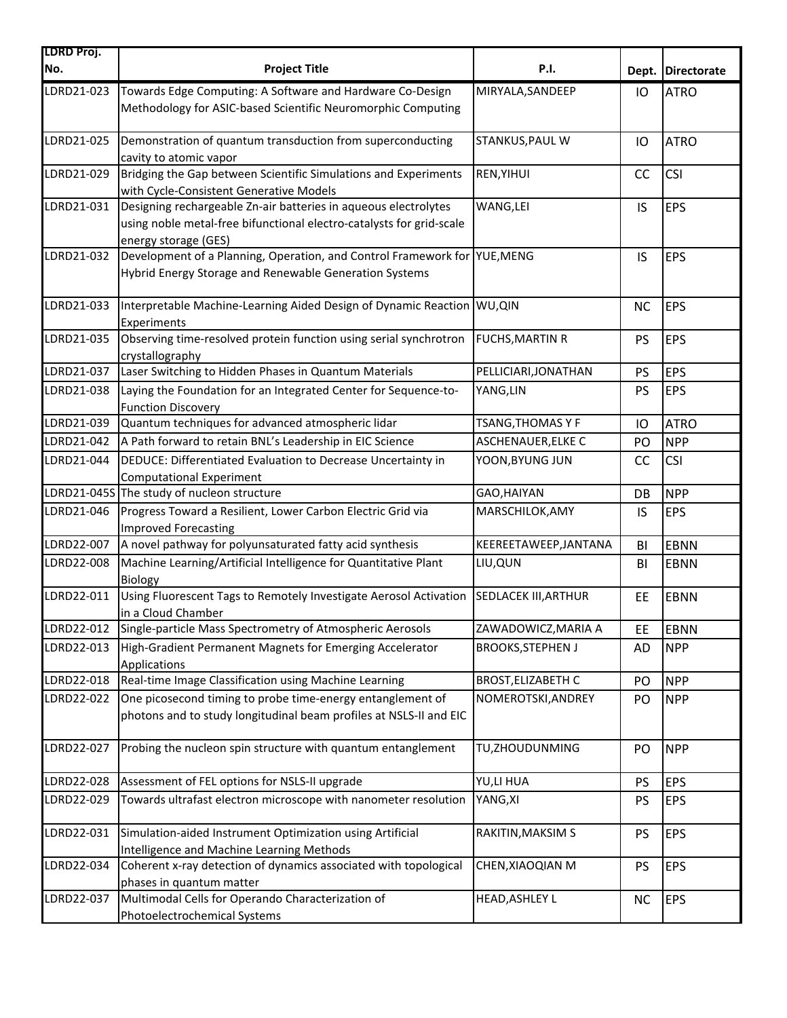| LDRD Proj. |                                                                                                                                                                 |                           |           |                   |
|------------|-----------------------------------------------------------------------------------------------------------------------------------------------------------------|---------------------------|-----------|-------------------|
| No.        | <b>Project Title</b>                                                                                                                                            | <b>P.I.</b>               |           | Dept. Directorate |
| LDRD21-023 | Towards Edge Computing: A Software and Hardware Co-Design<br>Methodology for ASIC-based Scientific Neuromorphic Computing                                       | MIRYALA, SANDEEP          | IO        | <b>ATRO</b>       |
| LDRD21-025 | Demonstration of quantum transduction from superconducting<br>cavity to atomic vapor                                                                            | STANKUS, PAUL W           | IO        | <b>ATRO</b>       |
| LDRD21-029 | Bridging the Gap between Scientific Simulations and Experiments<br>with Cycle-Consistent Generative Models                                                      | REN, YIHUI                | CC        | <b>CSI</b>        |
| LDRD21-031 | Designing rechargeable Zn-air batteries in aqueous electrolytes<br>using noble metal-free bifunctional electro-catalysts for grid-scale<br>energy storage (GES) | WANG, LEI                 | IS        | <b>EPS</b>        |
| LDRD21-032 | Development of a Planning, Operation, and Control Framework for YUE, MENG<br>Hybrid Energy Storage and Renewable Generation Systems                             |                           | IS        | <b>EPS</b>        |
| LDRD21-033 | Interpretable Machine-Learning Aided Design of Dynamic Reaction WU, QIN<br>Experiments                                                                          |                           | <b>NC</b> | <b>EPS</b>        |
| LDRD21-035 | Observing time-resolved protein function using serial synchrotron<br>crystallography                                                                            | <b>FUCHS, MARTIN R</b>    | <b>PS</b> | <b>EPS</b>        |
| LDRD21-037 | Laser Switching to Hidden Phases in Quantum Materials                                                                                                           | PELLICIARI, JONATHAN      | <b>PS</b> | <b>EPS</b>        |
| LDRD21-038 | Laying the Foundation for an Integrated Center for Sequence-to-<br><b>Function Discovery</b>                                                                    | YANG,LIN                  | PS        | <b>EPS</b>        |
| LDRD21-039 | Quantum techniques for advanced atmospheric lidar                                                                                                               | TSANG,THOMAS Y F          | IO        | <b>ATRO</b>       |
| LDRD21-042 | A Path forward to retain BNL's Leadership in EIC Science                                                                                                        | ASCHENAUER, ELKE C        | PO        | <b>NPP</b>        |
| LDRD21-044 | DEDUCE: Differentiated Evaluation to Decrease Uncertainty in<br><b>Computational Experiment</b>                                                                 | YOON, BYUNG JUN           | CC        | <b>CSI</b>        |
|            | LDRD21-045S The study of nucleon structure                                                                                                                      | GAO, HAIYAN               | DB        | <b>NPP</b>        |
| LDRD21-046 | Progress Toward a Resilient, Lower Carbon Electric Grid via<br><b>Improved Forecasting</b>                                                                      | MARSCHILOK, AMY           | IS        | <b>EPS</b>        |
| LDRD22-007 | A novel pathway for polyunsaturated fatty acid synthesis                                                                                                        | KEEREETAWEEP, JANTANA     | BI        | <b>EBNN</b>       |
| LDRD22-008 | Machine Learning/Artificial Intelligence for Quantitative Plant<br>Biology                                                                                      | LIU, QUN                  | BI        | EBNN              |
| LDRD22-011 | Using Fluorescent Tags to Remotely Investigate Aerosol Activation<br>in a Cloud Chamber                                                                         | SEDLACEK III, ARTHUR      | EE        | <b>EBNN</b>       |
| LDRD22-012 | Single-particle Mass Spectrometry of Atmospheric Aerosols                                                                                                       | ZAWADOWICZ, MARIA A       | EE        | <b>EBNN</b>       |
| LDRD22-013 | High-Gradient Permanent Magnets for Emerging Accelerator<br>Applications                                                                                        | <b>BROOKS, STEPHEN J</b>  | AD        | <b>NPP</b>        |
| LDRD22-018 | Real-time Image Classification using Machine Learning                                                                                                           | <b>BROST, ELIZABETH C</b> | PO        | <b>NPP</b>        |
| LDRD22-022 | One picosecond timing to probe time-energy entanglement of<br>photons and to study longitudinal beam profiles at NSLS-II and EIC                                | NOMEROTSKI, ANDREY        | PO        | <b>NPP</b>        |
| LDRD22-027 | Probing the nucleon spin structure with quantum entanglement                                                                                                    | TU, ZHOUDUNMING           | PO        | <b>NPP</b>        |
| LDRD22-028 | Assessment of FEL options for NSLS-II upgrade                                                                                                                   | YU,LI HUA                 | <b>PS</b> | <b>EPS</b>        |
| LDRD22-029 | Towards ultrafast electron microscope with nanometer resolution                                                                                                 | YANG, XI                  | PS        | <b>EPS</b>        |
| LDRD22-031 | Simulation-aided Instrument Optimization using Artificial<br>Intelligence and Machine Learning Methods                                                          | RAKITIN, MAKSIM S         | PS        | <b>EPS</b>        |
| LDRD22-034 | Coherent x-ray detection of dynamics associated with topological<br>phases in quantum matter                                                                    | CHEN, XIAOQIAN M          | <b>PS</b> | <b>EPS</b>        |
| LDRD22-037 | Multimodal Cells for Operando Characterization of<br>Photoelectrochemical Systems                                                                               | HEAD, ASHLEY L            | <b>NC</b> | <b>EPS</b>        |